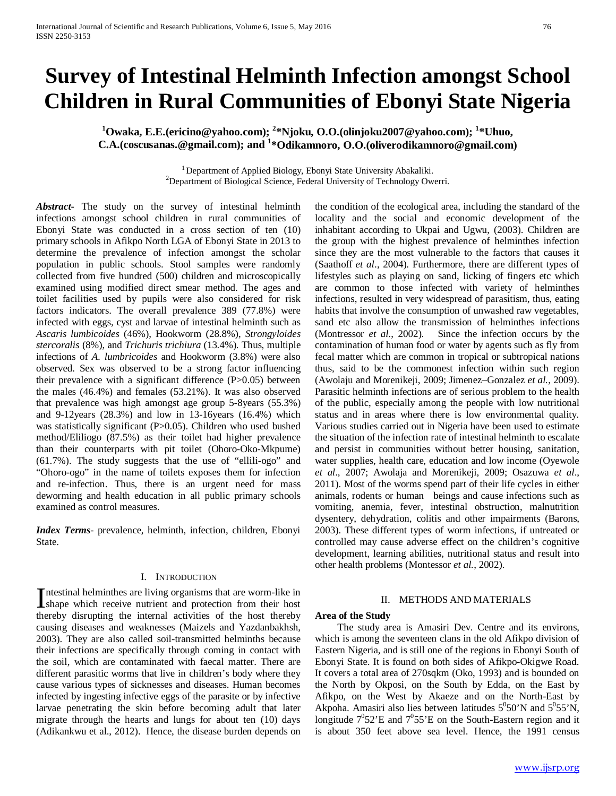# **Survey of Intestinal Helminth Infection amongst School Children in Rural Communities of Ebonyi State Nigeria**

**1 Owaka, E.E.(ericino@yahoo.com); <sup>2</sup> \*Njoku, O.O.(olinjoku2007@yahoo.com); <sup>1</sup> \*Uhuo, C.A.(coscusanas.@gmail.com); and <sup>1</sup> \*Odikamnoro, O.O.(oliverodikamnoro@gmail.com)**

> <sup>1</sup> Department of Applied Biology, Ebonyi State University Abakaliki.  $^{2}$ Department of Biological Science, Federal University of Technology Owerri.

*Abstract***-** The study on the survey of intestinal helminth infections amongst school children in rural communities of Ebonyi State was conducted in a cross section of ten (10) primary schools in Afikpo North LGA of Ebonyi State in 2013 to determine the prevalence of infection amongst the scholar population in public schools. Stool samples were randomly collected from five hundred (500) children and microscopically examined using modified direct smear method. The ages and toilet facilities used by pupils were also considered for risk factors indicators. The overall prevalence 389 (77.8%) were infected with eggs, cyst and larvae of intestinal helminth such as *Ascaris lumbicoides* (46%), Hookworm (28.8%), *Strongyloides stercoralis* (8%), and *Trichuris trichiura* (13.4%). Thus, multiple infections of *A. lumbricoides* and Hookworm (3.8%) were also observed. Sex was observed to be a strong factor influencing their prevalence with a significant difference (P>0.05) between the males (46.4%) and females (53.21%). It was also observed that prevalence was high amongst age group 5-8years (55.3%) and 9-12years (28.3%) and low in 13-16years (16.4%) which was statistically significant (P $>0.05$ ). Children who used bushed method/Eliliogo (87.5%) as their toilet had higher prevalence than their counterparts with pit toilet (Ohoro-Oko-Mkpume) (61.7%). The study suggests that the use of "ellili-ogo" and "Ohoro-ogo" in the name of toilets exposes them for infection and re-infection. Thus, there is an urgent need for mass deworming and health education in all public primary schools examined as control measures.

*Index Terms*- prevalence, helminth, infection, children, Ebonyi State.

#### I. INTRODUCTION

ntestinal helminthes are living organisms that are worm-like in Intestinal helminthes are living organisms that are worm-like in shape which receive nutrient and protection from their host thereby disrupting the internal activities of the host thereby causing diseases and weaknesses (Maizels and Yazdanbakhsh, 2003). They are also called soil-transmitted helminths because their infections are specifically through coming in contact with the soil, which are contaminated with faecal matter. There are different parasitic worms that live in children's body where they cause various types of sicknesses and diseases. Human becomes infected by ingesting infective eggs of the parasite or by infective larvae penetrating the skin before becoming adult that later migrate through the hearts and lungs for about ten (10) days (Adikankwu et al., 2012). Hence, the disease burden depends on

the condition of the ecological area, including the standard of the locality and the social and economic development of the inhabitant according to Ukpai and Ugwu, (2003). Children are the group with the highest prevalence of helminthes infection since they are the most vulnerable to the factors that causes it (Saathoff *et al*., 2004). Furthermore, there are different types of lifestyles such as playing on sand, licking of fingers etc which are common to those infected with variety of helminthes infections, resulted in very widespread of parasitism, thus, eating habits that involve the consumption of unwashed raw vegetables, sand etc also allow the transmission of helminthes infections (Montressor *et al*., 2002). Since the infection occurs by the contamination of human food or water by agents such as fly from fecal matter which are common in tropical or subtropical nations thus, said to be the commonest infection within such region (Awolaju and Morenikeji, 2009; Jimenez–Gonzalez *et al.*, 2009). Parasitic helminth infections are of serious problem to the health of the public, especially among the people with low nutritional status and in areas where there is low environmental quality. Various studies carried out in Nigeria have been used to estimate the situation of the infection rate of intestinal helminth to escalate and persist in communities without better housing, sanitation, water supplies, health care, education and low income (Oyewole *et al*., 2007; Awolaja and Morenikeji, 2009; Osazuwa *et al*., 2011). Most of the worms spend part of their life cycles in either animals, rodents or human beings and cause infections such as vomiting, anemia, fever, intestinal obstruction, malnutrition dysentery, dehydration, colitis and other impairments (Barons, 2003). These different types of worm infections, if untreated or controlled may cause adverse effect on the children's cognitive development, learning abilities, nutritional status and result into other health problems (Montessor *et al.*, 2002).

#### II. METHODS AND MATERIALS

#### **Area of the Study**

 The study area is Amasiri Dev. Centre and its environs, which is among the seventeen clans in the old Afikpo division of Eastern Nigeria, and is still one of the regions in Ebonyi South of Ebonyi State. It is found on both sides of Afikpo-Okigwe Road. It covers a total area of 270sqkm (Oko, 1993) and is bounded on the North by Okposi, on the South by Edda, on the East by Afikpo, on the West by Akaeze and on the North-East by Akpoha. Amasiri also lies between latitudes  $5^0 50'$ N and  $5^0 55'$ N, longitude  $7^0$ 52'E and  $7^0$ 55'E on the South-Eastern region and it is about 350 feet above sea level. Hence, the 1991 census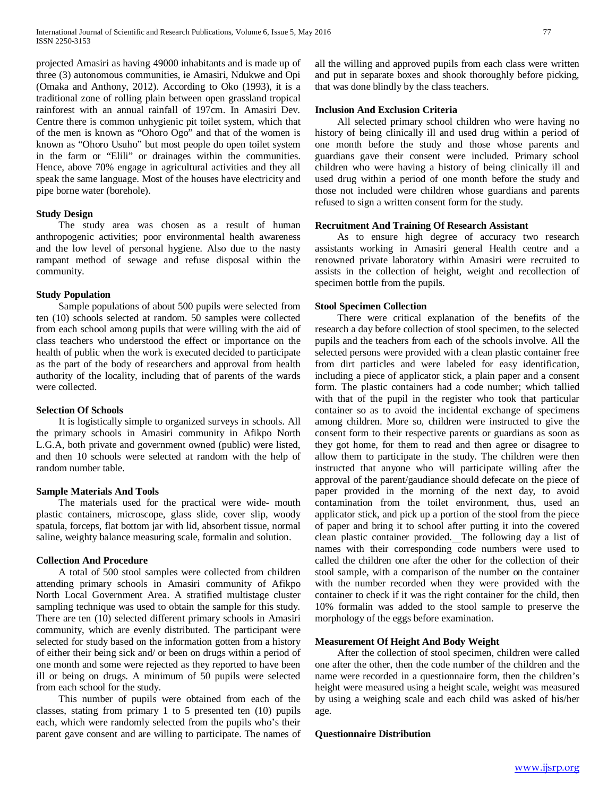projected Amasiri as having 49000 inhabitants and is made up of three (3) autonomous communities, ie Amasiri, Ndukwe and Opi (Omaka and Anthony, 2012). According to Oko (1993), it is a traditional zone of rolling plain between open grassland tropical rainforest with an annual rainfall of 197cm. In Amasiri Dev. Centre there is common unhygienic pit toilet system, which that of the men is known as "Ohoro Ogo" and that of the women is known as "Ohoro Usuho" but most people do open toilet system in the farm or "Elili" or drainages within the communities. Hence, above 70% engage in agricultural activities and they all speak the same language. Most of the houses have electricity and pipe borne water (borehole).

# **Study Design**

 The study area was chosen as a result of human anthropogenic activities; poor environmental health awareness and the low level of personal hygiene. Also due to the nasty rampant method of sewage and refuse disposal within the community.

#### **Study Population**

 Sample populations of about 500 pupils were selected from ten (10) schools selected at random. 50 samples were collected from each school among pupils that were willing with the aid of class teachers who understood the effect or importance on the health of public when the work is executed decided to participate as the part of the body of researchers and approval from health authority of the locality, including that of parents of the wards were collected.

#### **Selection Of Schools**

 It is logistically simple to organized surveys in schools. All the primary schools in Amasiri community in Afikpo North L.G.A, both private and government owned (public) were listed, and then 10 schools were selected at random with the help of random number table.

# **Sample Materials And Tools**

 The materials used for the practical were wide- mouth plastic containers, microscope, glass slide, cover slip, woody spatula, forceps, flat bottom jar with lid, absorbent tissue, normal saline, weighty balance measuring scale, formalin and solution.

# **Collection And Procedure**

 A total of 500 stool samples were collected from children attending primary schools in Amasiri community of Afikpo North Local Government Area. A stratified multistage cluster sampling technique was used to obtain the sample for this study. There are ten (10) selected different primary schools in Amasiri community, which are evenly distributed. The participant were selected for study based on the information gotten from a history of either their being sick and/ or been on drugs within a period of one month and some were rejected as they reported to have been ill or being on drugs. A minimum of 50 pupils were selected from each school for the study.

 This number of pupils were obtained from each of the classes, stating from primary 1 to 5 presented ten (10) pupils each, which were randomly selected from the pupils who's their parent gave consent and are willing to participate. The names of all the willing and approved pupils from each class were written and put in separate boxes and shook thoroughly before picking, that was done blindly by the class teachers.

#### **Inclusion And Exclusion Criteria**

 All selected primary school children who were having no history of being clinically ill and used drug within a period of one month before the study and those whose parents and guardians gave their consent were included. Primary school children who were having a history of being clinically ill and used drug within a period of one month before the study and those not included were children whose guardians and parents refused to sign a written consent form for the study.

# **Recruitment And Training Of Research Assistant**

 As to ensure high degree of accuracy two research assistants working in Amasiri general Health centre and a renowned private laboratory within Amasiri were recruited to assists in the collection of height, weight and recollection of specimen bottle from the pupils.

# **Stool Specimen Collection**

 There were critical explanation of the benefits of the research a day before collection of stool specimen, to the selected pupils and the teachers from each of the schools involve. All the selected persons were provided with a clean plastic container free from dirt particles and were labeled for easy identification, including a piece of applicator stick, a plain paper and a consent form. The plastic containers had a code number; which tallied with that of the pupil in the register who took that particular container so as to avoid the incidental exchange of specimens among children. More so, children were instructed to give the consent form to their respective parents or guardians as soon as they got home, for them to read and then agree or disagree to allow them to participate in the study. The children were then instructed that anyone who will participate willing after the approval of the parent/gaudiance should defecate on the piece of paper provided in the morning of the next day, to avoid contamination from the toilet environment, thus, used an applicator stick, and pick up a portion of the stool from the piece of paper and bring it to school after putting it into the covered clean plastic container provided. The following day a list of names with their corresponding code numbers were used to called the children one after the other for the collection of their stool sample, with a comparison of the number on the container with the number recorded when they were provided with the container to check if it was the right container for the child, then 10% formalin was added to the stool sample to preserve the morphology of the eggs before examination.

#### **Measurement Of Height And Body Weight**

 After the collection of stool specimen, children were called one after the other, then the code number of the children and the name were recorded in a questionnaire form, then the children's height were measured using a height scale, weight was measured by using a weighing scale and each child was asked of his/her age.

#### **Questionnaire Distribution**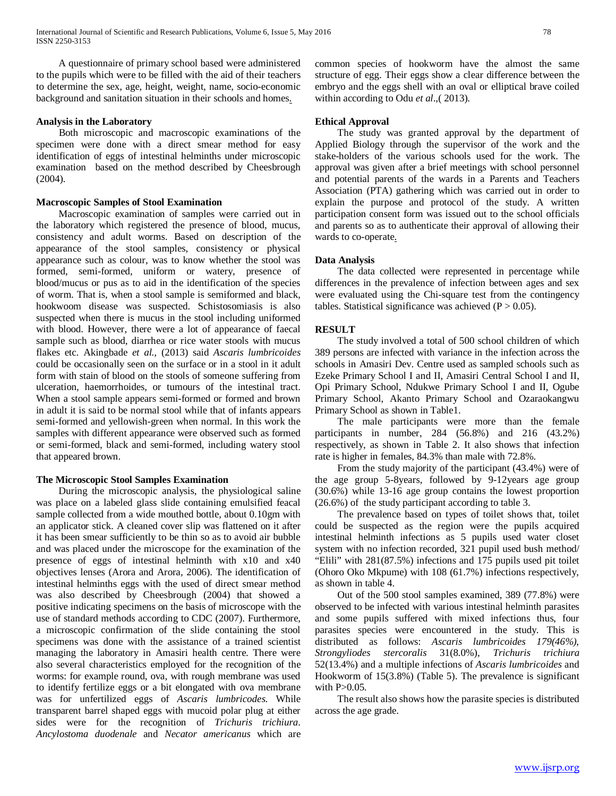A questionnaire of primary school based were administered to the pupils which were to be filled with the aid of their teachers to determine the sex, age, height, weight, name, socio-economic background and sanitation situation in their schools and homes.

### **Analysis in the Laboratory**

 Both microscopic and macroscopic examinations of the specimen were done with a direct smear method for easy identification of eggs of intestinal helminths under microscopic examination based on the method described by Cheesbrough (2004).

#### **Macroscopic Samples of Stool Examination**

 Macroscopic examination of samples were carried out in the laboratory which registered the presence of blood, mucus, consistency and adult worms. Based on description of the appearance of the stool samples, consistency or physical appearance such as colour, was to know whether the stool was formed, semi-formed, uniform or watery, presence of blood/mucus or pus as to aid in the identification of the species of worm. That is, when a stool sample is semiformed and black, hookwoom disease was suspected. Schistosomiasis is also suspected when there is mucus in the stool including uniformed with blood. However, there were a lot of appearance of faecal sample such as blood, diarrhea or rice water stools with mucus flakes etc. Akingbade *et al.,* (2013) said *Ascaris lumbricoides* could be occasionally seen on the surface or in a stool in it adult form with stain of blood on the stools of someone suffering from ulceration, haemorrhoides, or tumours of the intestinal tract. When a stool sample appears semi-formed or formed and brown in adult it is said to be normal stool while that of infants appears semi-formed and yellowish-green when normal. In this work the samples with different appearance were observed such as formed or semi-formed, black and semi-formed, including watery stool that appeared brown.

# **The Microscopic Stool Samples Examination**

 During the microscopic analysis, the physiological saline was place on a labeled glass slide containing emulsified feacal sample collected from a wide mouthed bottle, about 0.10gm with an applicator stick. A cleaned cover slip was flattened on it after it has been smear sufficiently to be thin so as to avoid air bubble and was placed under the microscope for the examination of the presence of eggs of intestinal helminth with x10 and x40 objectives lenses (Arora and Arora, 2006). The identification of intestinal helminths eggs with the used of direct smear method was also described by Cheesbrough (2004) that showed a positive indicating specimens on the basis of microscope with the use of standard methods according to CDC (2007). Furthermore, a microscopic confirmation of the slide containing the stool specimens was done with the assistance of a trained scientist managing the laboratory in Amasiri health centre. There were also several characteristics employed for the recognition of the worms: for example round, ova, with rough membrane was used to identify fertilize eggs or a bit elongated with ova membrane was for unfertilized eggs of *Ascaris lumbricodes*. While transparent barrel shaped eggs with mucoid polar plug at either sides were for the recognition of *Trichuris trichiura*. *Ancylostoma duodenale* and *Necator americanus* which are common species of hookworm have the almost the same structure of egg. Their eggs show a clear difference between the embryo and the eggs shell with an oval or elliptical brave coiled within according to Odu *et al*.,( 2013).

### **Ethical Approval**

 The study was granted approval by the department of Applied Biology through the supervisor of the work and the stake-holders of the various schools used for the work. The approval was given after a brief meetings with school personnel and potential parents of the wards in a Parents and Teachers Association (PTA) gathering which was carried out in order to explain the purpose and protocol of the study. A written participation consent form was issued out to the school officials and parents so as to authenticate their approval of allowing their wards to co-operate.

#### **Data Analysis**

 The data collected were represented in percentage while differences in the prevalence of infection between ages and sex were evaluated using the Chi-square test from the contingency tables. Statistical significance was achieved  $(P > 0.05)$ .

#### **RESULT**

 The study involved a total of 500 school children of which 389 persons are infected with variance in the infection across the schools in Amasiri Dev. Centre used as sampled schools such as Ezeke Primary School I and II, Amasiri Central School I and II, Opi Primary School, Ndukwe Primary School I and II, Ogube Primary School, Akanto Primary School and Ozaraokangwu Primary School as shown in Table1.

 The male participants were more than the female participants in number, 284 (56.8%) and 216 (43.2%) respectively, as shown in Table 2. It also shows that infection rate is higher in females, 84.3% than male with 72.8%.

 From the study majority of the participant (43.4%) were of the age group 5-8years, followed by 9-12years age group (30.6%) while 13-16 age group contains the lowest proportion (26.6%) of the study participant according to table 3.

 The prevalence based on types of toilet shows that, toilet could be suspected as the region were the pupils acquired intestinal helminth infections as 5 pupils used water closet system with no infection recorded, 321 pupil used bush method/ "Elili" with 281(87.5%) infections and 175 pupils used pit toilet (Ohoro Oko Mkpume) with 108 (61.7%) infections respectively, as shown in table 4.

 Out of the 500 stool samples examined, 389 (77.8%) were observed to be infected with various intestinal helminth parasites and some pupils suffered with mixed infections thus, four parasites species were encountered in the study. This is distributed as follows: *Ascaris lumbricoides 179(46%), Strongyliodes stercoralis* 31(8.0%), *Trichuris trichiura* 52(13.4%) and a multiple infections of *Ascaris lumbricoides* and Hookworm of 15(3.8%) (Table 5). The prevalence is significant with  $P>0.05$ .

 The result also shows how the parasite species is distributed across the age grade.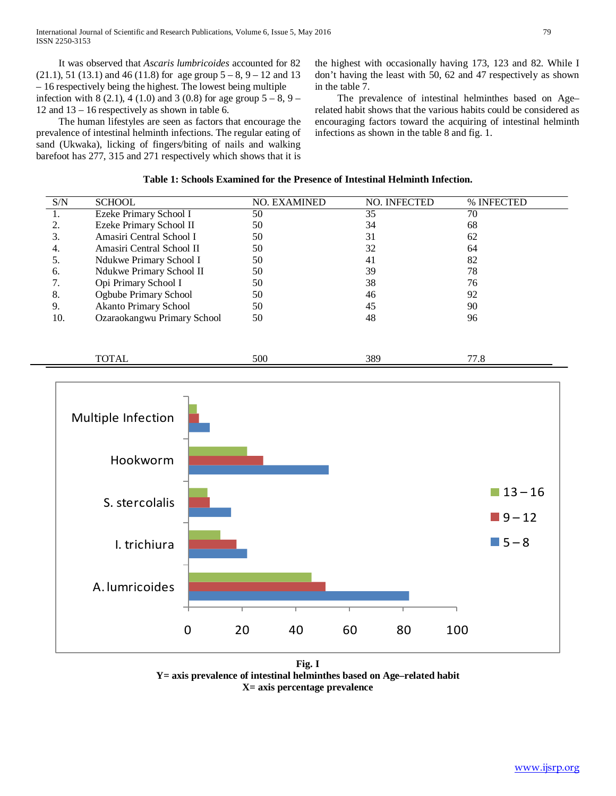It was observed that *Ascaris lumbricoides* accounted for 82  $(21.1)$ , 51 (13.1) and 46 (11.8) for age group  $5 - 8$ , 9 – 12 and 13 – 16 respectively being the highest. The lowest being multiple infection with 8 (2.1), 4 (1.0) and 3 (0.8) for age group  $5 - 8$ , 9 – 12 and 13 – 16 respectively as shown in table 6.

 The human lifestyles are seen as factors that encourage the prevalence of intestinal helminth infections. The regular eating of sand (Ukwaka), licking of fingers/biting of nails and walking barefoot has 277, 315 and 271 respectively which shows that it is the highest with occasionally having 173, 123 and 82. While I don't having the least with 50, 62 and 47 respectively as shown in the table 7.

 The prevalence of intestinal helminthes based on Age– related habit shows that the various habits could be considered as encouraging factors toward the acquiring of intestinal helminth infections as shown in the table 8 and fig. 1.

# **Table 1: Schools Examined for the Presence of Intestinal Helminth Infection.**

| S/N | <b>SCHOOL</b>                | <b>NO. EXAMINED</b> | NO. INFECTED | % INFECTED |
|-----|------------------------------|---------------------|--------------|------------|
| 1.  | Ezeke Primary School I       | 50                  | 35           | 70         |
|     | Ezeke Primary School II      | 50                  | 34           | 68         |
| 3.  | Amasiri Central School I     | 50                  | 31           | 62         |
| 4.  | Amasiri Central School II    | 50                  | 32           | 64         |
| 5.  | Ndukwe Primary School I      | 50                  | 41           | 82         |
| 6.  | Ndukwe Primary School II     | 50                  | 39           | 78         |
|     | Opi Primary School I         | 50                  | 38           | 76         |
| 8.  | Ogbube Primary School        | 50                  | 46           | 92         |
| 9.  | <b>Akanto Primary School</b> | 50                  | 45           | 90         |
| 10. | Ozaraokangwu Primary School  | 50                  | 48           | 96         |
|     |                              |                     |              |            |
|     |                              |                     |              |            |

| $-1$ | -- |  |
|------|----|--|
|      |    |  |



**Fig. I Y= axis prevalence of intestinal helminthes based on Age–related habit X= axis percentage prevalence**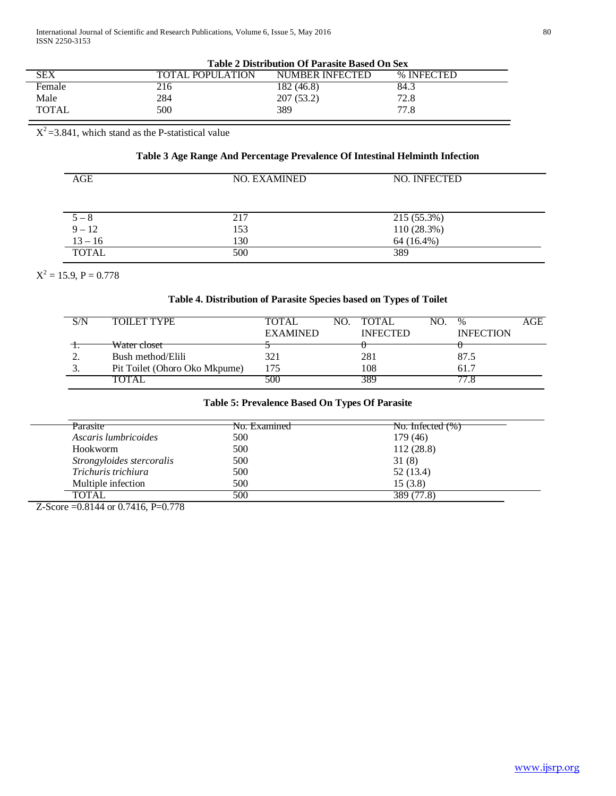|              | <b>Table 2 Distribution Of Parasite Based On Sex</b> |                 |            |  |  |
|--------------|------------------------------------------------------|-----------------|------------|--|--|
| <b>SEX</b>   | ΤΟΤΑΙ. ΡΟΡΗΙ ΑΤΙΟΝ                                   | NUMBER INFECTED | % INFECTED |  |  |
| Female       | 216                                                  | 182 (46.8)      | 84.3       |  |  |
| Male         | 284                                                  | 207 (53.2)      | 72.8       |  |  |
| <b>TOTAL</b> | 500                                                  | 389             | 77.8       |  |  |

 $X^2 = 3.841$ , which stand as the P-statistical value

# **Table 3 Age Range And Percentage Prevalence Of Intestinal Helminth Infection**

| AGE          | <b>NO. EXAMINED</b> | NO. INFECTED |
|--------------|---------------------|--------------|
| $5 - 8$      | 217                 | 215 (55.3%)  |
| $9 - 12$     | 153                 | 110(28.3%)   |
| $13 - 16$    | 130                 | 64 (16.4%)   |
| <b>TOTAL</b> | 500                 | 389          |

 $X^2 = 15.9, P = 0.778$ 

# **Table 4. Distribution of Parasite Species based on Types of Toilet**

| S/N | <b>TOILET TYPE</b>            | <b>TOTAL</b>    | NO. TOTAL       | NO. | $\%$             | AGE |
|-----|-------------------------------|-----------------|-----------------|-----|------------------|-----|
|     |                               | <b>EXAMINED</b> | <b>INFECTED</b> |     | <b>INFECTION</b> |     |
|     | Water closet                  |                 |                 |     |                  |     |
|     | Bush method/Elili             | 321             | 281             |     | 87.5             |     |
|     | Pit Toilet (Ohoro Oko Mkpume) | 175             | 108             |     | 61.7             |     |
|     |                               | 500             | 389             |     |                  |     |

# **Table 5: Prevalence Based On Types Of Parasite**

| Parasite                  | No. Examined | $\pi$ No. Infected $(\%)$ |  |  |  |
|---------------------------|--------------|---------------------------|--|--|--|
| Ascaris lumbricoides      | 500          | 179 (46)                  |  |  |  |
| Hookworm                  | 500          | 112(28.8)                 |  |  |  |
| Strongyloides stercoralis | 500          | 31(8)                     |  |  |  |
| Trichuris trichiura       | 500          | 52(13.4)                  |  |  |  |
| Multiple infection        | 500          | 15(3.8)                   |  |  |  |
| <b>TOTAL</b>              | 500          | 389(77.8)                 |  |  |  |
|                           |              |                           |  |  |  |

Z-Score =0.8144 or 0.7416, P=0.778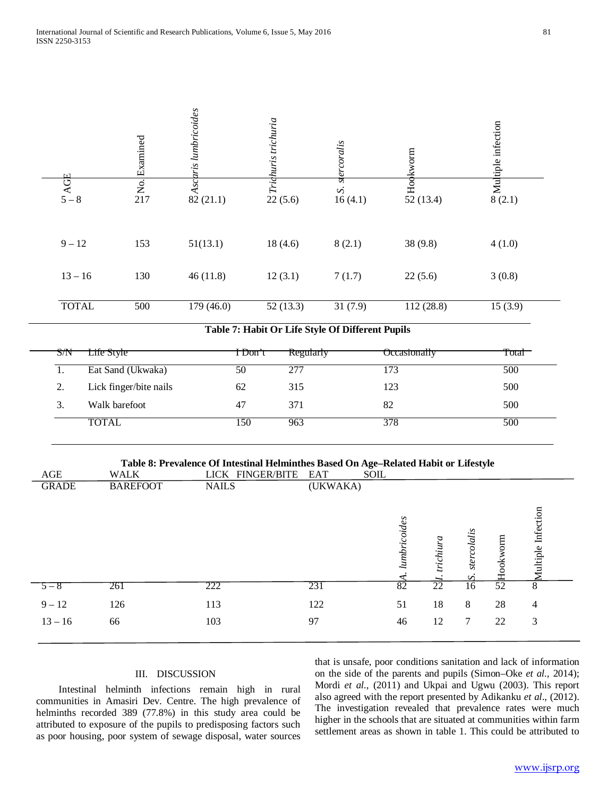

|              |                 | Table 8: Prevalence Of Intestinal Helminthes Based On Age–Related Habit or Lifestyle |             |                |           |            |    |                    |  |
|--------------|-----------------|--------------------------------------------------------------------------------------|-------------|----------------|-----------|------------|----|--------------------|--|
| AGE          | <b>WALK</b>     | LICK FINGER/BITE EAT                                                                 | <b>SOIL</b> |                |           |            |    |                    |  |
| <b>GRADE</b> | <b>BAREFOOT</b> | <b>NAILS</b>                                                                         | (UKWAKA)    |                |           |            |    |                    |  |
|              |                 |                                                                                      |             | coides<br>mbri | trichiura | lalis<br>∽ | 톱  | fultiple Infection |  |
| $5 - 8$      | 261             | 222                                                                                  | 231         | 82             | 22        | 16         | 52 | 8                  |  |
| $9 - 12$     | 126             | 113                                                                                  | 122         | 51             | 18        | 8          | 28 | 4                  |  |

13 – 16 66 103 97 46 12 7 22 3

TOTAL 150 963 378 500

# III. DISCUSSION

 Intestinal helminth infections remain high in rural communities in Amasiri Dev. Centre. The high prevalence of helminths recorded 389 (77.8%) in this study area could be attributed to exposure of the pupils to predisposing factors such as poor housing, poor system of sewage disposal, water sources

that is unsafe, poor conditions sanitation and lack of information on the side of the parents and pupils (Simon–Oke *et al.,* 2014); Mordi *et al.,* (2011) and Ukpai and Ugwu (2003). This report also agreed with the report presented by Adikanku *et al*., (2012). The investigation revealed that prevalence rates were much higher in the schools that are situated at communities within farm settlement areas as shown in table 1. This could be attributed to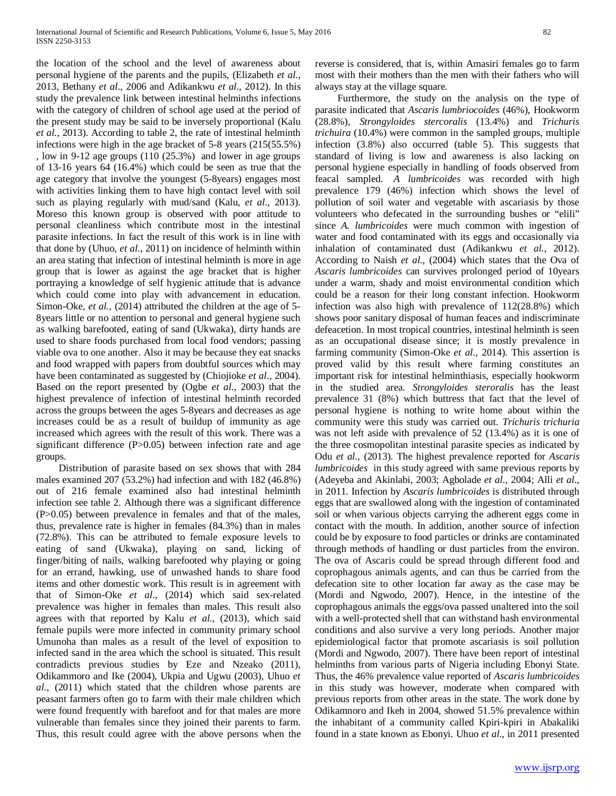the location of the school and the level of awareness about personal hygiene of the parents and the pupils, (Elizabeth *et al*., 2013, Bethany *et al*., 2006 and Adikankwu *et al*., 2012). In this study the prevalence link between intestinal helminths infections with the category of children of school age used at the period of the present study may be said to be inversely proportional (Kalu *et al.,* 2013). According to table 2, the rate of intestinal helminth infections were high in the age bracket of 5-8 years (215(55.5%) , low in 9-12 age groups (110 (25.3%) and lower in age groups of 13-16 years 64 (16.4%) which could be seen as true that the age category that involve the youngest (5-8years) engages most with activities linking them to have high contact level with soil such as playing regularly with mud/sand (Kalu, *et al*., 2013). Moreso this known group is observed with poor attitude to personal cleanliness which contribute most in the intestinal parasite infections. In fact the result of this work is in line with that done by (Uhuo, *et al*., 2011) on incidence of helminth within an area stating that infection of intestinal helminth is more in age group that is lower as against the age bracket that is higher portraying a knowledge of self hygienic attitude that is advance which could come into play with advancement in education. Simon-Oke, *et al.,* (2014) attributed the children at the age of 5- 8years little or no attention to personal and general hygiene such as walking barefooted, eating of sand (Ukwaka), dirty hands are used to share foods purchased from local food vendors; passing viable ova to one another. Also it may be because they eat snacks and food wrapped with papers from doubtful sources which may have been contaminated as suggested by (Chiojioke *et al*., 2004). Based on the report presented by (Ogbe *et al.,* 2003) that the highest prevalence of infection of intestinal helminth recorded across the groups between the ages 5-8years and decreases as age increases could be as a result of buildup of immunity as age increased which agrees with the result of this work. There was a significant difference (P>0.05) between infection rate and age groups.

 Distribution of parasite based on sex shows that with 284 males examined 207 (53.2%) had infection and with 182 (46.8%) out of 216 female examined also had intestinal helminth infection see table 2. Although there was a significant difference (P>0.05) between prevalence in females and that of the males, thus, prevalence rate is higher in females (84.3%) than in males (72.8%). This can be attributed to female exposure levels to eating of sand (Ukwaka), playing on sand, licking of finger/biting of nails, walking barefooted why playing or going for an errand, hawking, use of unwashed hands to share food items and other domestic work. This result is in agreement with that of Simon-Oke *et al*., (2014) which said sex-related prevalence was higher in females than males. This result also agrees with that reported by Kalu *et al.,* (2013), which said female pupils were more infected in community primary school Umunoha than males as a result of the level of exposition to infected sand in the area which the school is situated. This result contradicts previous studies by Eze and Nzeako (2011), Odikammoro and Ike (2004), Ukpia and Ugwu (2003), Uhuo *et al.,* (2011) which stated that the children whose parents are peasant farmers often go to farm with their male children which were found frequently with barefoot and for that males are more vulnerable than females since they joined their parents to farm. Thus, this result could agree with the above persons when the reverse is considered, that is, within Amasiri females go to farm most with their mothers than the men with their fathers who will always stay at the village square.

 Furthermore, the study on the analysis on the type of parasite indicated that *Ascaris lumbriocoides* (46%), Hookworm (28.8%), *Strongyloides stercoralis* (13.4%) and *Trichuris trichuira* (10.4%) were common in the sampled groups, multiple infection (3.8%) also occurred (table 5). This suggests that standard of living is low and awareness is also lacking on personal hygiene especially in handling of foods observed from feacal sampled. *A lumbricoides* was recorded with high prevalence 179 (46%) infection which shows the level of pollution of soil water and vegetable with ascariasis by those volunteers who defecated in the surrounding bushes or "elili" since *A. lumbricoides* were much common with ingestion of water and food contaminated with its eggs and occasionally via inhalation of contaminated dust (Adikankwu *et al.,* 2012). According to Naish *et al.,* (2004) which states that the Ova of *Ascaris lumbricoides* can survives prolonged period of 10years under a warm, shady and moist environmental condition which could be a reason for their long constant infection. Hookworm infection was also high with prevalence of 112(28.8%) which shows poor sanitary disposal of human feaces and indiscriminate defeacetion. In most tropical countries, intestinal helminth is seen as an occupational disease since; it is mostly prevalence in farming community (Simon-Oke *et al.,* 2014). This assertion is proved valid by this result where farming constitutes an important risk for intestinal helminthiasis, especially hookworm in the studied area. *Strongyloides steroralis* has the least prevalence 31 (8%) which buttress that fact that the level of personal hygiene is nothing to write home about within the community were this study was carried out. *Trichuris trichuria* was not left aside with prevalence of 52 (13.4%) as it is one of the three cosmopolitan intestinal parasite species as indicated by Odu *et al.,* (2013). The highest prevalence reported for *Ascaris lumbricoides* in this study agreed with same previous reports by (Adeyeba and Akinlabi, 2003; Agbolade *et al.,* 2004; Alli *et al*., in 2011. Infection by *Ascaris lumbricoides* is distributed through eggs that are swallowed along with the ingestion of contaminated soil or when various objects carrying the adherent eggs come in contact with the mouth. In addition, another source of infection could be by exposure to food particles or drinks are contaminated through methods of handling or dust particles from the environ. The ova of Ascaris could be spread through different food and coprophagous animals agents, and can thus be carried from the defecation site to other location far away as the case may be (Mordi and Ngwodo, 2007). Hence, in the intestine of the coprophagous animals the eggs/ova passed unaltered into the soil with a well-protected shell that can withstand hash environmental conditions and also survive a very long periods. Another major epidemiological factor that promote ascariasis is soil pollution (Mordi and Ngwodo, 2007). There have been report of intestinal helminths from various parts of Nigeria including Ebonyi State. Thus, the 46% prevalence value reported of *Ascaris lumbricoides* in this study was however, moderate when compared with previous reports from other areas in the state. The work done by Odikamnoro and Ikeh in 2004, showed 51.5% prevalence within the inhabitant of a community called Kpiri-kpiri in Abakaliki found in a state known as Ebonyi. Uhuo *et al*., in 2011 presented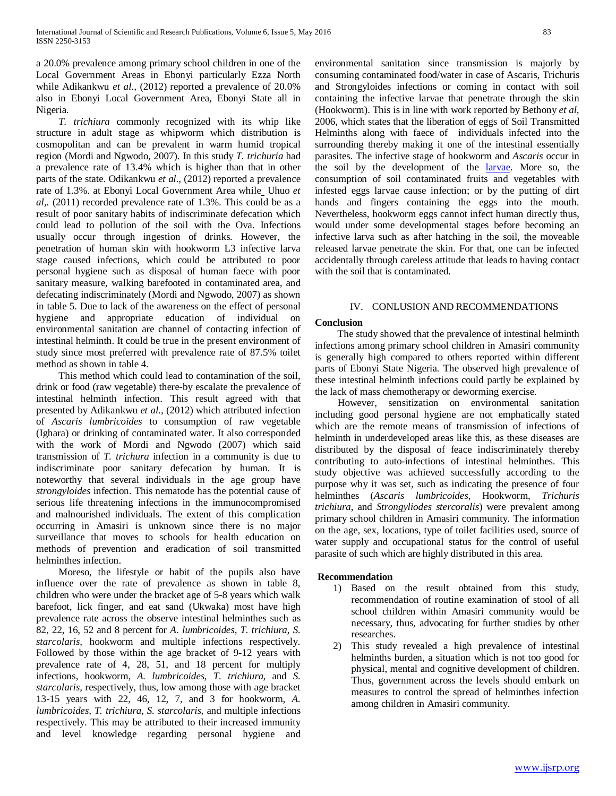a 20.0% prevalence among primary school children in one of the Local Government Areas in Ebonyi particularly Ezza North while Adikankwu *et al.,* (2012) reported a prevalence of 20.0% also in Ebonyi Local Government Area, Ebonyi State all in Nigeria.

 *T. trichiura* commonly recognized with its whip like structure in adult stage as whipworm which distribution is cosmopolitan and can be prevalent in warm humid tropical region (Mordi and Ngwodo, 2007). In this study *T. trichuria* had a prevalence rate of 13.4% which is higher than that in other parts of the state. Odikankwu *et al*., (2012) reported a prevalence rate of 1.3%. at Ebonyi Local Government Area while Uhuo *et al,.* (2011) recorded prevalence rate of 1.3%. This could be as a result of poor sanitary habits of indiscriminate defecation which could lead to pollution of the soil with the Ova. Infections usually occur through ingestion of drinks. However, the penetration of human skin with hookworm L3 infective larva stage caused infections, which could be attributed to poor personal hygiene such as disposal of human faece with poor sanitary measure, walking barefooted in contaminated area, and defecating indiscriminately (Mordi and Ngwodo, 2007) as shown in table 5. Due to lack of the awareness on the effect of personal hygiene and appropriate education of individual on environmental sanitation are channel of contacting infection of intestinal helminth. It could be true in the present environment of study since most preferred with prevalence rate of 87.5% toilet method as shown in table 4.

 This method which could lead to contamination of the soil, drink or food (raw vegetable) there-by escalate the prevalence of intestinal helminth infection. This result agreed with that presented by Adikankwu *et al*., (2012) which attributed infection of *Ascaris lumbricoides* to consumption of raw vegetable (Ighara) or drinking of contaminated water. It also corresponded with the work of Mordi and Ngwodo (2007) which said transmission of *T. trichura* infection in a community is due to indiscriminate poor sanitary defecation by human. It is noteworthy that several individuals in the age group have *strongyloides* infection. This nematode has the potential cause of serious life threatening infections in the immunocompromised and malnourished individuals. The extent of this complication occurring in Amasiri is unknown since there is no major surveillance that moves to schools for health education on methods of prevention and eradication of soil transmitted helminthes infection.

 Moreso, the lifestyle or habit of the pupils also have influence over the rate of prevalence as shown in table 8, children who were under the bracket age of 5-8 years which walk barefoot, lick finger, and eat sand (Ukwaka) most have high prevalence rate across the observe intestinal helminthes such as 82, 22, 16, 52 and 8 percent for *A. lumbricoides, T. trichiura, S. starcolaris,* hookworm and multiple infections respectively. Followed by those within the age bracket of 9-12 years with prevalence rate of 4, 28, 51, and 18 percent for multiply infections, hookworm, *A. lumbricoides, T. trichiura,* and *S. starcolaris,* respectively, thus, low among those with age bracket 13-15 years with 22, 46, 12, 7, and 3 for hookworm, *A. lumbricoides, T. trichiura, S. starcolaris,* and multiple infections respectively. This may be attributed to their increased immunity and level knowledge regarding personal hygiene and environmental sanitation since transmission is majorly by consuming contaminated food/water in case of Ascaris, Trichuris and Strongyloides infections or coming in contact with soil containing the infective larvae that penetrate through the skin (Hookworm). This is in line with work reported by Bethony *et al,* 2006, which states that the liberation of eggs of Soil Transmitted Helminths along with faece of individuals infected into the surrounding thereby making it one of the intestinal essentially parasites. The infective stage of hookworm and *Ascaris* occur in the soil by the development of the [larvae.](http://en.wikipedia.org/wiki/Larva) More so, the consumption of soil contaminated fruits and vegetables with infested eggs larvae cause infection; or by the putting of dirt hands and fingers containing the eggs into the mouth. Nevertheless, hookworm eggs cannot infect human directly thus, would under some developmental stages before becoming an infective larva such as after hatching in the soil, the moveable released larvae penetrate the skin. For that, one can be infected accidentally through careless attitude that leads to having contact with the soil that is contaminated.

# IV. CONLUSION AND RECOMMENDATIONS

# **Conclusion**

 The study showed that the prevalence of intestinal helminth infections among primary school children in Amasiri community is generally high compared to others reported within different parts of Ebonyi State Nigeria. The observed high prevalence of these intestinal helminth infections could partly be explained by the lack of mass chemotherapy or deworming exercise.

 However, sensitization on environmental sanitation including good personal hygiene are not emphatically stated which are the remote means of transmission of infections of helminth in underdeveloped areas like this, as these diseases are distributed by the disposal of feace indiscriminately thereby contributing to auto-infections of intestinal helminthes. This study objective was achieved successfully according to the purpose why it was set, such as indicating the presence of four helminthes (*Ascaris lumbricoides*, Hookworm, *Trichuris trichiura*, and *Strongyliodes stercoralis*) were prevalent among primary school children in Amasiri community. The information on the age, sex, locations, type of toilet facilities used, source of water supply and occupational status for the control of useful parasite of such which are highly distributed in this area.

# **Recommendation**

- 1) Based on the result obtained from this study, recommendation of routine examination of stool of all school children within Amasiri community would be necessary, thus, advocating for further studies by other researches.
- 2) This study revealed a high prevalence of intestinal helminths burden, a situation which is not too good for physical, mental and cognitive development of children. Thus, government across the levels should embark on measures to control the spread of helminthes infection among children in Amasiri community.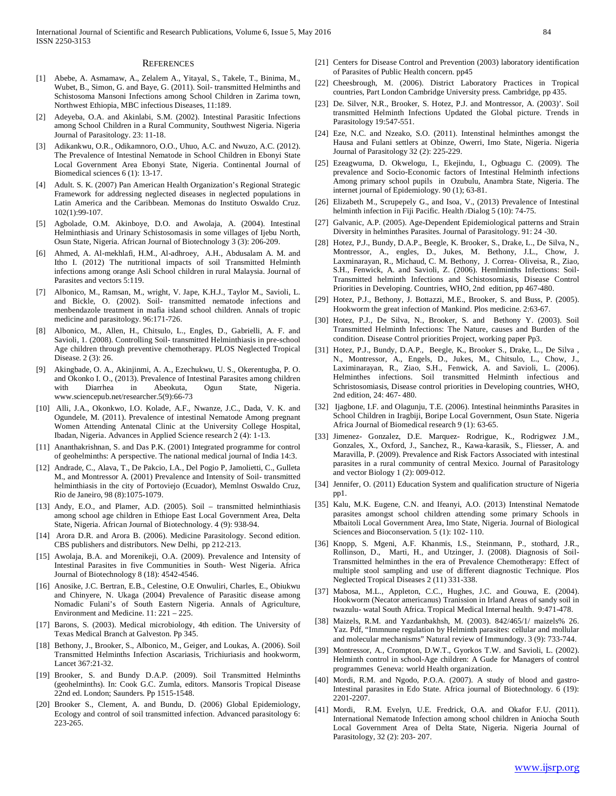#### **REFERENCES**

- [1] Abebe, A. Asmamaw, A., Zelalem A., Yitayal, S., Takele, T., Binima, M., Wubet, B., Simon, G. and Baye, G. (2011). Soil- transmitted Helminths and Schistosoma Mansoni Infections among School Children in Zarima town, Northwest Ethiopia, MBC infectious Diseases, 11:189.
- [2] Adeyeba, O.A. and Akinlabi, S.M. (2002). Intestinal Parasitic Infections among School Children in a Rural Community, Southwest Nigeria. Nigeria Journal of Parasitology. 23: 11-18.
- [3] Adikankwu, O.R., Odikamnoro, O.O., Uhuo, A.C. and Nwuzo, A.C. (2012). The Prevalence of Intestinal Nematode in School Children in Ebonyi State Local Government Area Ebonyi State, Nigeria. Continental Journal of Biomedical sciences 6 (1): 13-17.
- Adult. S. K. (2007) Pan American Health Organization's Regional Strategic Framework for addressing neglected diseases in neglected populations in Latin America and the Caribbean. Memonas do Instituto Oswaldo Cruz. 102(1):99-107.
- [5] Agbolade, O.M. Akinboye, D.O. and Awolaja, A. (2004). Intestinal Helminthiasis and Urinary Schistosomasis in some villages of Ijebu North, Osun State, Nigeria. African Journal of Biotechnology 3 (3): 206-209.
- [6] Ahmed, A. Al-mekhlafi, H.M., Al-adhroey, A.H., Abdusalam A. M. and Itho I. (2012) The nutritional impacts of soil Transmitted Helminth infections among orange Asli School children in rural Malaysia. Journal of Parasites and vectors 5:119.
- [7] Albonico, M., Ramsan, M., wright, V. Jape, K.H.J., Taylor M., Savioli, L. and Bickle, O. (2002). Soil- transmitted nematode infections and menbendazole treatment in mafia island school children. Annals of tropic medicine and parasitology. 96:171-726.
- [8] Albonico, M., Allen, H., Chitsulo, L., Engles, D., Gabrielli, A. F. and Savioli, 1. (2008). Controlling Soil- transmitted Helminthiasis in pre-school Age children through preventive chemotherapy. PLOS Neglected Tropical Disease. 2 (3): 26.
- [9] Akingbade, O. A., Akinjinmi, A. A., Ezechukwu, U. S., Okerentugba, P. O. and Okonko I. O., (2013). Prevalence of Intestinal Parasites among children with Diarrhea in Abeokuta, Ogun State, Nigeria. www.sciencepub.net/researcher.5(9):66-73
- [10] Alli, J.A., Okonkwo, I.O. Kolade, A.F., Nwanze, J.C., Dada, V. K. and Ogundele, M. (2011). Prevalence of intestinal Nematode Among pregnant Women Attending Antenatal Clinic at the University College Hospital, Ibadan, Nigeria. Advances in Applied Science research 2 (4): 1-13.
- [11] Ananthakrishnan, S. and Das P.K. (2001) Integrated programme for control of geohelminths: A perspective. The national medical journal of India 14:3.
- [12] Andrade, C., Alava, T., De Pakcio, I.A., Del Pogio P, Jamolietti, C., Gulleta M., and Montressor A. (2001) Prevalence and Intensity of Soil- transmitted helminthiasis in the city of Portoviejo (Ecuador), Memlnst Oswaldo Cruz, Rio de Janeiro, 98 (8):1075-1079.
- [13] Andy, E.O., and Plamer, A.D. (2005). Soil transmitted helminthiasis among school age children in Ethiope East Local Government Area, Delta State, Nigeria. African Journal of Biotechnology. 4 (9): 938-94.
- [14] Arora D.R. and Arora B. (2006). Medicine Parasitology. Second edition. CBS publishers and distributors. New Delhi, pp 212-213.
- [15] Awolaja, B.A. and Morenikeji, O.A. (2009). Prevalence and Intensity of Intestinal Parasites in five Communities in South- West Nigeria. Africa Journal of Biotechnology 8 (18): 4542-4546.
- [16] Anosike, J.C. Bertran, E.B., Celestine, O.E Onwuliri, Charles, E., Obiukwu and Chinyere, N. Ukaga (2004) Prevalence of Parasitic disease among Nomadic Fulani's of South Eastern Nigeria. Annals of Agriculture, Environment and Medicine. 11: 221 – 225.
- [17] Barons, S. (2003). Medical microbiology, 4th edition. The University of Texas Medical Branch at Galveston. Pp 345.
- [18] Bethony, J., Brooker, S., Albonico, M., Geiger, and Loukas, A. (2006). Soil Transmitted Helminths Infection Ascariasis, Trichiuriasis and hookworm, Lancet 367:21-32.
- [19] Brooker, S. and Bundy D.A.P. (2009). Soil Transmitted Helminths (geohelminths). In: Cook G.C. Zumla, editors. Mansoris Tropical Disease 22nd ed. London; Saunders. Pp 1515-1548.
- [20] Brooker S., Clement, A. and Bundu, D. (2006) Global Epidemiology, Ecology and control of soil transmitted infection. Advanced parasitology 6: 223-265.
- [21] Centers for Disease Control and Prevention (2003) laboratory identification of Parasites of Public Health concern. pp45
- [22] Cheesbrough, M. (2006). District Laboratory Practices in Tropical countries, Part London Cambridge University press. Cambridge, pp 435.
- [23] De. Silver, N.R., Brooker, S. Hotez, P.J. and Montressor, A. (2003)'. Soil transmitted Helminth Infections Updated the Global picture. Trends in Parasitology 19:547-551.
- [24] Eze, N.C. and Nzeako, S.O. (2011). Intenstinal helminthes amongst the Hausa and Fulani settlers at Obinze, Owerri, Imo State, Nigeria. Nigeria Journal of Parasitology 32 (2): 225-229.
- [25] Ezeagwuma, D. Okwelogu, I., Ekejindu, I., Ogbuagu C. (2009). The prevalence and Socio-Economic factors of Intestinal Helminth infections Among primary school pupils in Ozubulu, Anambra State, Nigeria. The internet journal of Epidemiology. 90 (1); 63-81.
- [26] Elizabeth M., Scrupepely G., and Isoa, V., (2013) Prevalence of Intestinal helminth infection in Fiji Pacific. Health /Dialog 5 (10): 74-75.
- [27] Galvanic, A.P. (2005). Age-Dependent Epidemiological patterns and Strain Diversity in helminthes Parasites. Journal of Parasitology. 91: 24 -30.
- [28] Hotez, P.J., Bundy, D.A.P., Beegle, K. Brooker, S., Drake, L., De Silva, N., Montressor, A., engles, D., Jukes, M. Bethony, J.L., Chow, J. Laxminarayan, R., Michaud, C. M. Bethony, J. Correa- Oliveisa, R., Ziao, S.H., Fenwick, A. and Savioli, Z. (2006). Hemlminths Infections: Soil-Transmitted helminth Infections and Schistosomiasis, Disease Control Priorities in Developing. Countries, WHO, 2nd edition, pp 467-480.
- [29] Hotez, P.J., Bethony, J. Bottazzi, M.E., Brooker, S. and Buss, P. (2005). Hookworm the great infection of Mankind. Plos medicine. 2:63-67.
- [30] Hotez, P.J., De Silva, N., Brooker, S. and Bethony Y. (2003). Soil Transmitted Helminth Infections: The Nature, causes and Burden of the condition. Disease Control priorities Project, working paper Pp3.
- [31] Hotez, P.J., Bundy, D.A.P., Beegle, K., Brooker S., Drake, L., De Silva , N., Montressor, A., Engels, D., Jukes, M., Chitsulo, L., Chow, J., Laximinarayan, R., Ziao, S.H., Fenwick, A. and Savioli, L. (2006). Helminthes infections. Soil transmitted Helminth infectious and Schristosomiasis, Disease control priorities in Developing countries, WHO, 2nd edition, 24: 467- 480.
- [32] Ijagbone, I.F. and Olagunju, T.E. (2006). Intestinal heinminths Parasites in School Children in Iragbiji, Boripe Local Government, Osun State. Nigeria Africa Journal of Biomedical research 9 (1): 63-65.
- [33] Jimenez- Gonzalez, D.E. Marquez- Rodrigue, K., Rodrigwez J.M., Gonzales, X., Oxford, J., Sanchez, R., Kawa-karasik, S., Fliesser, A. and Maravilla, P. (2009). Prevalence and Risk Factors Associated with intestinal parasites in a rural community of central Mexico. Journal of Parasitology and vector Biology 1 (2): 009-012.
- [34] Jennifer, O. (2011) Education System and qualification structure of Nigeria pp1.
- [35] Kalu, M.K. Eugene, C.N. and Ifeanyi, A.O. (2013) Intenstinal Nematode parasites amongst school children attending some primary Schools in Mbaitoli Local Government Area, Imo State, Nigeria. Journal of Biological Sciences and Bioconservation. 5 (1): 102- 110.
- [36] Knopp, S. Mgeni, A.F. Khanmis, I.S., Steinmann, P., stothard, J.R., Rollinson, D., Marti, H., and Utzinger, J. (2008). Diagnosis of Soil-Transmitted helminthes in the era of Prevalence Chemotherapy: Effect of multiple stool sampling and use of different diagnostic Technique. Plos Neglected Tropical Diseases 2 (11) 331-338.
- [37] Mabosa, M.L., Appleton, C.C., Hughes, J.C. and Gouwa, E. (2004). Hookworm (Necator americanus) Tranission in Irland Areas of sandy soil in twazulu- watal South Africa. Tropical Medical Internal health. 9:471-478.
- [38] Maizels, R.M. and Yazdanbakhsh, M. (2003). 842/465/1/ maizels% 26. Yaz. Pdf, "Immnune regulation by Helminth parasites: cellular and mollular and molecular mechanisms" Natural review of Immundogy. 3 (9): 733-744.
- [39] Montressor, A., Crompton, D.W.T., Gyorkos T.W. and Savioli, L. (2002). Helminth control in school-Age children: A Gude for Managers of control programmes Geneva: world Health organization.
- [40] Mordi, R.M. and Ngodo, P.O.A. (2007). A study of blood and gastro-Intestinal parasites in Edo State. Africa journal of Biotechnology. 6 (19): 2201-2207.
- [41] Mordi, R.M. Evelyn, U.E. Fredrick, O.A. and Okafor F.U. (2011). International Nematode Infection among school children in Aniocha South Local Government Area of Delta State, Nigeria. Nigeria Journal of Parasitology, 32 (2): 203- 207.